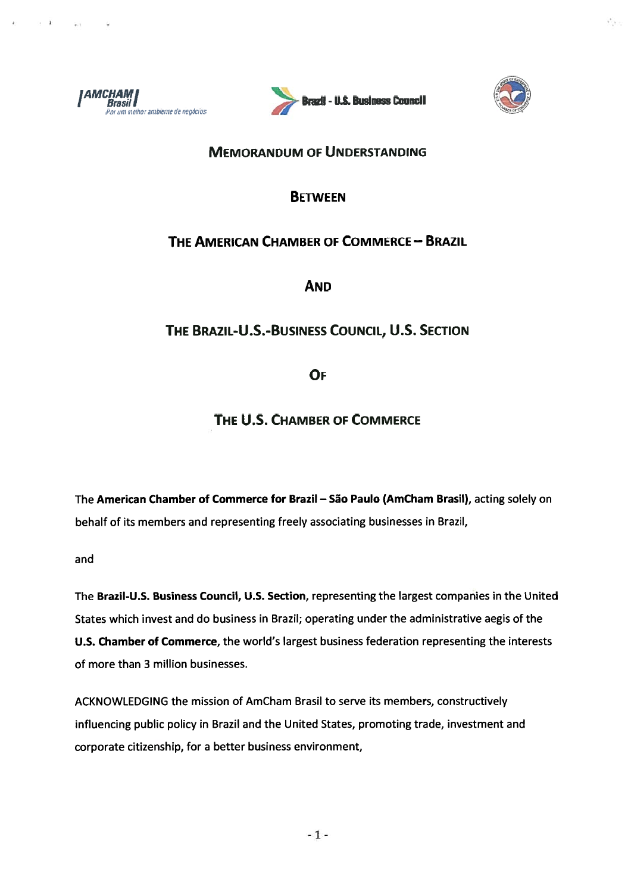

 $-1$ 

 $-4 - 1$ 





### **MEMORANDUM OF UNDERSTANDING**

## **BETWEEN**

# THE AMERICAN CHAMBER OF COMMERCE - BRAZIL

**AND** 

# THE BRAZIL-U.S.-BUSINESS COUNCIL, U.S. SECTION

OF

THE U.S. CHAMBER OF COMMERCE

The American Chamber of Commerce for Brazil - São Paulo (AmCham Brasil), acting solely on behalf of its members and representing freely associating businesses in Brazil,

and

The Brazil-U.S. Business Council, U.S. Section, representing the largest companies in the United States which invest and do business in Brazil; operating under the administrative aegis of the U.S. Chamber of Commerce, the world's largest business federation representing the interests of more than 3 million businesses.

ACKNOWLEDGING the mission of AmCham Brasil to serve its members, constructively influencing public policy in Brazil and the United States, promoting trade, investment and corporate citizenship, for a better business environment,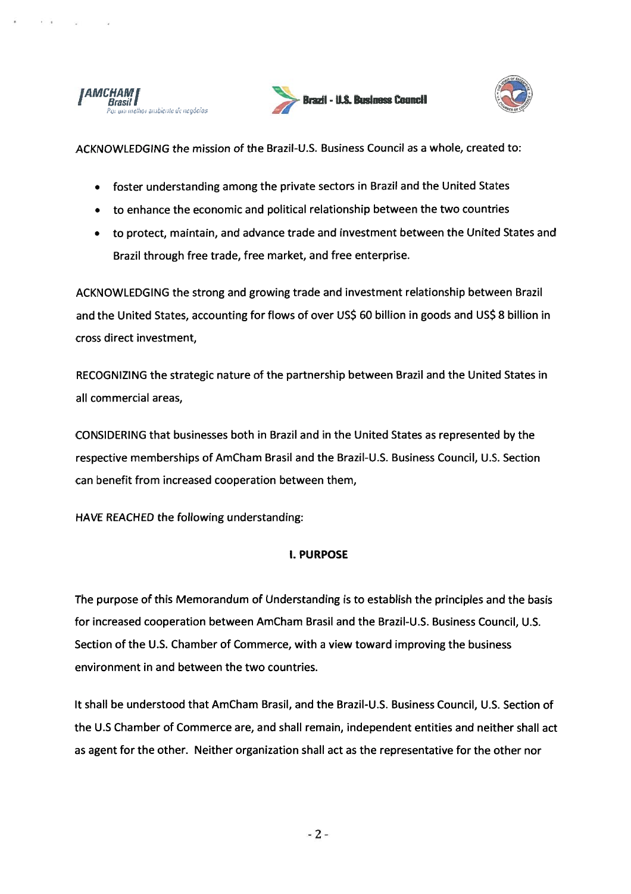

 $\mathbf{r} = \mathbf{r}$ 





ACKNOWLEDGING the mission of the Brazil-U.S. Business Council as <sup>a</sup> whole, created to:

- foster understanding among the private sectors in Brazil and the United States
- to enhance the economic and political relationship between the two countries
- to protect, maintain, and advance trade and investment between the United States and Brazil through free trade, free market, and free enterprise.

ACKNOWLEDGING the strong and growing trade and investment relationship between Brazil and the United States, accounting for flows of over US\$ 60 billion in goods and US\$ 8 billion in cross direct investment,

RECOGNIZING the strategic nature of the partnership between Brazil and the United States in all commercial areas,

CONSIDERING that businesses both in Brazil and in the United States as represented by the respective memberships of AmCham Brasil and the Brazil-U.S. Business Council, U.S. Section can benefit from increased cooperation between them,

HAVE REACHED the following understanding:

#### I. PURPOSE

The purpose of this Memorandum of Understanding is to establish the principles and the basis for increased cooperation between AmCham Brasil and the Brazil-U.S. Business Council, U.S. Section of the U.S. Chamber of Commerce, with <sup>a</sup> view toward improving the business environment in and between the two countries.

It shall be understood that AmCham Brasil, and the Brazil-U.S. Business Council, U.S. Section of the U.S Chamber of Commerce are, and shall remain, independent entities and neither shall act as agen<sup>t</sup> for the other. Neither organization shall act as the representative for the other nor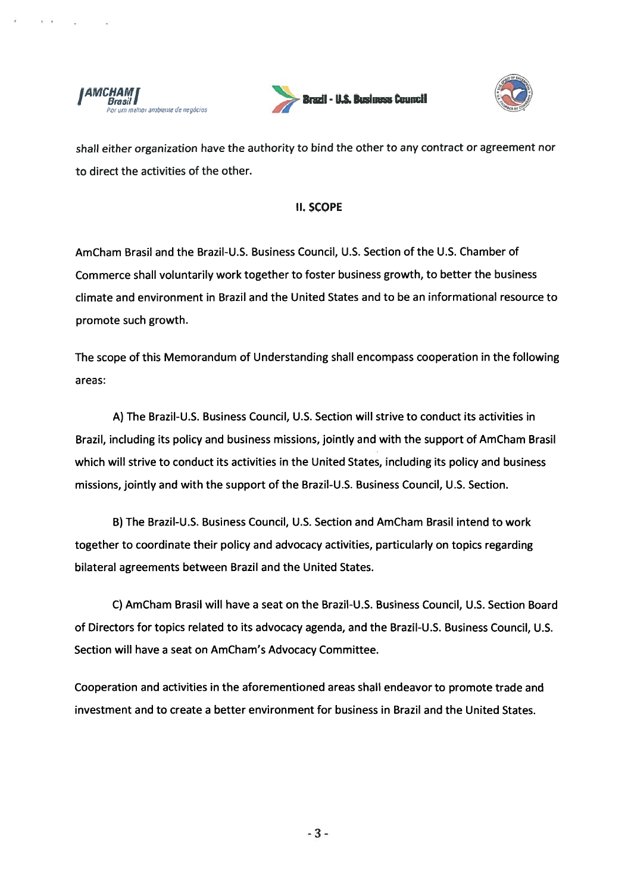

 $\ddot{\phantom{1}}$ 





shall either organization have the authority to bind the other to any contract or agreemen<sup>t</sup> nor to direct the activities of the other.

#### II. SCOPE

AmCham Brasil and the Brazil-U.S. Business Council, U.S. Section of the U.S. Chamber of Commerce shall voluntarily work together to foster business growth, to better the business climate and environment in Brazil and the United States and to be an informational resource to promote such growth.

The scope of this Memorandum of Understanding shall encompass cooperation in the following areas:

A) The Brazil-U.S. Business Council, U.S. Section will strive to conduct its activities in Brazil, including its policy and business missions, jointly and with the suppor<sup>t</sup> of AmCham Brasil which will strive to conduct its activities in the United States, including its policy and business missions, jointly and with the suppor<sup>t</sup> of the Brazil-U.S. Business Council, U.S. Section.

B) The Brazil-U.S. Business Council, U.S. Section and AmCham Brasil intend to work together to coordinate their policy and advocacy activities, particularly on topics regarding bilateral agreements between Brazil and the United States.

C) AmCham Brasil will have a seat on the Brazil-U.S. Business Council, U.S. Section Board of Directors for topics related to its advocacy agenda, and the Brazil-U.S. Business Council, U.S. Section will have <sup>a</sup> seat on AmCham's Advocacy Committee.

Cooperation and activities in the aforementioned areas shall endeavor to promote trade and investment and to create <sup>a</sup> better environment for business in Brazil and the United States.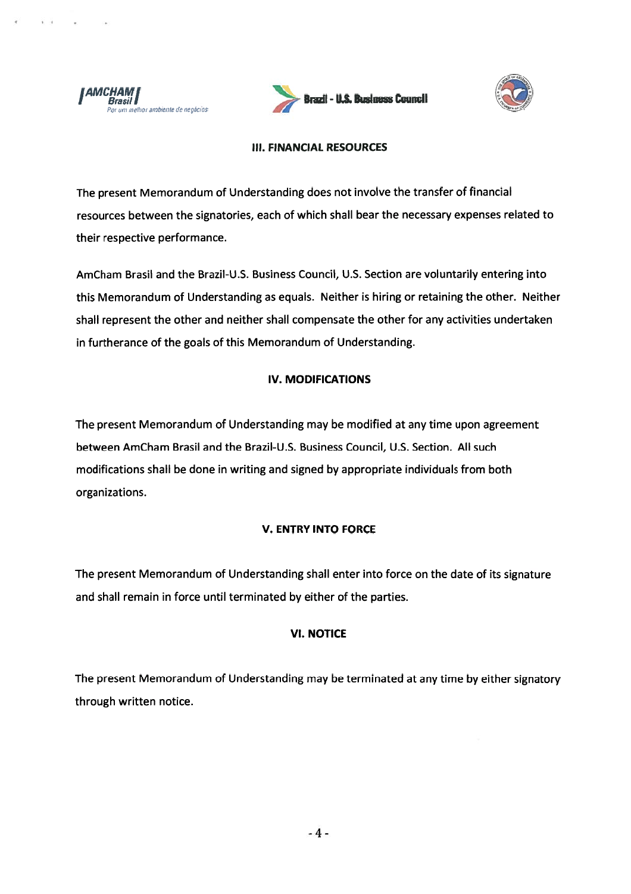





#### **III. FINANCIAL RESOURCES**

The present Memorandum of Understanding does not involve the transfer of financial resources between the signatories, each of which shall bear the necessary expenses related to their respective performance.

AmCham Brasil and the Brazil-U.S. Business Council, U.S. Section are voluntarily entering into this Memorandum of Understanding as equals. Neither is hiring or retaining the other. Neither shall represent the other and neither shall compensate the other for any activities undertaken in furtherance of the goals of this Memorandum of Understanding.

#### **IV. MODIFICATIONS**

The present Memorandum of Understanding may be modified at any time upon agreement between AmCham Brasil and the Brazil-U.S. Business Council, U.S. Section. All such modifications shall be done in writing and signed by appropriate individuals from both organizations.

#### **V. ENTRY INTO FORCE**

The present Memorandum of Understanding shall enter into force on the date of its signature and shall remain in force until terminated by either of the parties.

#### **VI. NOTICE**

The present Memorandum of Understanding may be terminated at any time by either signatory through written notice.